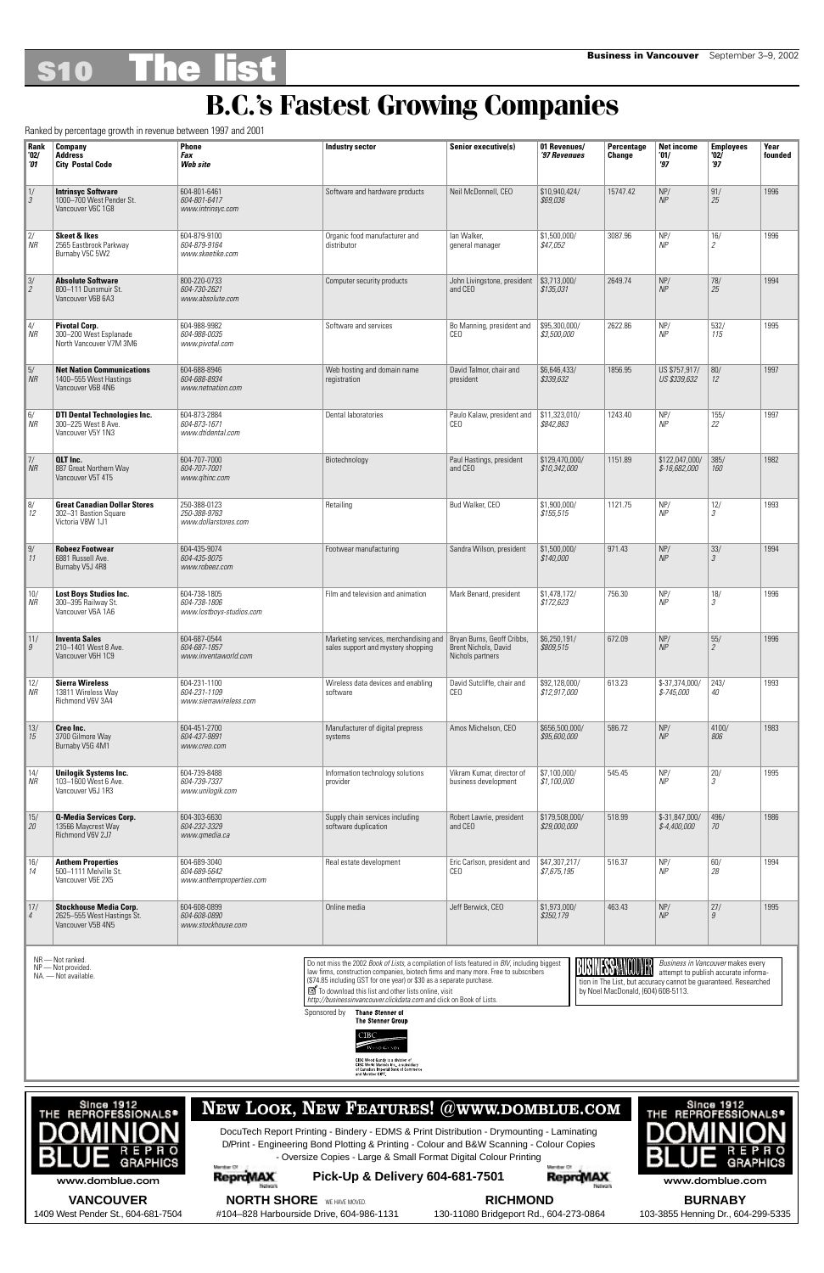# **S10 The list Business in Vancouver** September 3–9, 2002

| Rank<br>'02/<br>101            | <b>Company</b><br><b>Address</b><br><b>City Postal Code</b>                      | <b>Phone</b><br>Fax<br>Web site                          | Industry sector                                                             | Senior executive(s)                                                    | 01 Revenues/<br>'97 Revenues            | <b>Percentage</b><br>Change | <b>Net income</b><br>'01/<br>'97 | <b>Employees</b><br>'02'<br>$\overline{37}$ | Year<br>founded |
|--------------------------------|----------------------------------------------------------------------------------|----------------------------------------------------------|-----------------------------------------------------------------------------|------------------------------------------------------------------------|-----------------------------------------|-----------------------------|----------------------------------|---------------------------------------------|-----------------|
| 1/<br>$\vert$ 3                | <b>Intrinsyc Software</b><br>1000-700 West Pender St.<br>Vancouver V6C 1G8       | 604-801-6461<br>604-801-6417<br>www.intrinsyc.com        | Software and hardware products                                              | Neil McDonnell, CEO                                                    | \$10,940,424/<br>\$69,036               | 15747.42                    | NP/<br>NP                        | 91/<br>25                                   | 1996            |
| 2 <br>$\parallel$ NR           | <b>Skeet &amp; Ikes</b><br>2565 Eastbrook Parkway<br>Burnaby V5C 5W2             | 604-879-9100<br>604-879-9164<br>www.skeetike.com         | Organic food manufacturer and<br>distributor                                | lan Walker,<br>general manager                                         | \$1,500,000/<br>\$47,052                | 3087.96                     | NP/<br>NP                        | 16/<br>2                                    | 1996            |
| $\frac{3}{2}$                  | <b>Absolute Software</b><br>800-111 Dunsmuir St.<br>Vancouver V6B 6A3            | 800-220-0733<br>604-730-2621<br>www.absolute.com         | Computer security products                                                  | John Livingstone, president<br>and CEO                                 | \$3,713,000/<br>\$135,031               | 2649.74                     | NP/<br>NP                        | 78/<br>25                                   | 1994            |
| $\vert \vert 4/$<br>$\vert$ NR | <b>Pivotal Corp.</b><br>300-200 West Esplanade<br>North Vancouver V7M 3M6        | 604-988-9982<br>604-988-0035<br>www.pivotal.com          | Software and services                                                       | Bo Manning, president and<br>CEO                                       | \$95,300,000/<br>\$3,500,000            | 2622.86                     | NP/<br>NP                        | 532/<br>115                                 | 1995            |
| $\vert$ 5/<br>$\mid$ NR        | <b>Net Nation Communications</b><br>1400-555 West Hastings<br>Vancouver V6B 4N6  | 604-688-8946<br>604-688-8934<br>www.netnation.com        | Web hosting and domain name<br>registration                                 | David Talmor, chair and<br>president                                   | \$6,646,433/<br>\$339,632               | 1856.95                     | US \$757,917/<br>US \$339,632    | 80/<br>12                                   | 1997            |
| 6/<br>$\vert$ NR               | <b>DTI Dental Technologies Inc.</b><br>300-225 West 8 Ave.<br>Vancouver V5Y 1N3  | 604-873-2884<br>604-873-1671<br>www.dtidental.com        | Dental laboratories                                                         | Paulo Kalaw, president and<br><b>CEO</b>                               | \$11,323,010/<br>\$842,863              | 1243.40                     | NP/<br>NP                        | 155/<br>22                                  | 1997            |
| $\vert$ 7/<br>$\parallel$ NR   | <b>QLT</b> Inc.<br>887 Great Northern Way<br>Vancouver V5T 4T5                   | 604-707-7000<br>604-707-7001<br>www.gltinc.com           | Biotechnology                                                               | Paul Hastings, president<br>and CEO                                    | \$129,470,000/<br>\$10,342,000          | 1151.89                     | \$122,047,000/<br>$$-16,682,000$ | 385/<br>160                                 | 1982            |
| 8/<br> 12                      | <b>Great Canadian Dollar Stores</b><br>302-31 Bastion Square<br>Victoria V8W 1J1 | 250-388-0123<br>250-388-9763<br>www.dollarstores.com     | Retailing                                                                   | Bud Walker, CEO                                                        | \$1,900,000/<br>\$155,515               | 1121.75                     | NP/<br>NP                        | 12/<br>3                                    | 1993            |
| 9/<br>$\vert$ 11               | <b>Robeez Footwear</b><br>6881 Russell Ave.<br>Burnaby V5J 4R8                   | 604-435-9074<br>604-435-9075<br>www.robeez.com           | Footwear manufacturing                                                      | Sandra Wilson, president                                               | \$1,500,000/<br>\$140,000               | 971.43                      | NP/<br>NP                        | 33/<br>3                                    | 1994            |
| 10/<br>$\vert$ NR              | <b>Lost Boys Studios Inc.</b><br>300-395 Railway St.<br>Vancouver V6A 1A6        | 604-738-1805<br>604-738-1806<br>www.lostboys-studios.com | Film and television and animation                                           | Mark Benard, president                                                 | \$1,478,172/<br>\$172,623               | 756.30                      | NP/<br>NP                        | 18/<br>$\mathcal{S}$                        | 1996            |
| $\parallel$ 11/<br>  9         | <b>Inventa Sales</b><br>210-1401 West 8 Ave.<br>Vancouver V6H 1C9                | 604-687-0544<br>604-687-1857<br>www.inventaworld.com     | Marketing services, merchandising and<br>sales support and mystery shopping | Bryan Burns, Geoff Cribbs,<br>Brent Nichols, David<br>Nichols partners | \$6,250,191/<br>\$809,515               | 672.09                      | NP/<br>NP                        | 55/<br>$\overline{2}$                       | 1996            |
| 12<br>$\vert$ NR               | <b>Sierra Wireless</b><br>13811 Wireless Way<br>Richmond V6V 3A4                 | 604-231-1100<br>604-231-1109<br>www.sierrawireless.com   | Wireless data devices and enabling<br>software                              | David Sutcliffe, chair and<br>CEO                                      | \$92,128,000/<br>\$12,917,000           | 613.23                      | $$-37,374,000/$<br>$$-745,000$   | 243/<br>40                                  | 1993            |
| 13/<br>15                      | Creo Inc.<br>3700 Gilmore Way<br>Burnaby V5G 4M1                                 | 604-451-2700<br>604-437-9891<br>www.creo.com             | Manufacturer of digital prepress<br>systems                                 | Amos Michelson, CEO                                                    | \$656,500,000/<br>\$95,600,000          | 586.72                      | NP/<br>NP                        | 4100/<br>806                                | 1983            |
| 14/<br>$\overline{M}$          | <b>Unilogik Systems Inc.</b><br>103-1600 West 6 Ave.<br>Vancouver V6J 1R3        | 604-739-8488<br>604-739-7337<br>www.unilogik.com         | Information technology solutions<br>provider                                | Vikram Kumar, director of<br>business development                      | \$7,100,000/<br>\$1,100,000             | 545.45                      | NP/<br>NP                        | 20/<br>3                                    | 1995            |
| 15/<br>  20                    | <b>Q-Media Services Corp.</b><br>13566 Maycrest Way<br>Richmond V6V 2J7          | 604-303-6630<br>604-232-3329<br>www.gmedia.ca            | Supply chain services including<br>software duplication                     | Robert Lawrie, president<br>and CEO                                    | \$179,508,000/<br>\$29,000,000          | 518.99                      | \$-31,847,000/<br>$$-4,400,000$  | 496/<br>70                                  | 1986            |
| 16/<br>14                      | <b>Anthem Properties</b><br>500-1111 Melville St.<br>Vancouver V6E 2X5           | 604-689-3040<br>604-689-5642<br>www.anthemproperties.com | Real estate development                                                     | Eric Carlson, president and<br>CEO                                     | \$47,307,217/<br>\$7,675,195            | 516.37                      | NP/<br>NP                        | 60/<br>28                                   | 1994            |
| $\vert$ 17/<br>$\vert 4$       | <b>Stockhouse Media Corp.</b><br>2625-555 West Hastings St.<br>Vancouver V5B 4N5 | 604-608-0899<br>604-608-0890<br>www.stockhouse.com       | Online media                                                                | Jeff Berwick, CEO                                                      | \$1,973,000/<br><i><b>\$350,179</b></i> | 463.43                      | NP/<br>NP                        | 27/<br>9                                    | 1995            |



#### **B.C.'s Fastest Growing Companies**

Ranked by percentage growth in revenue between 1997 and 2001

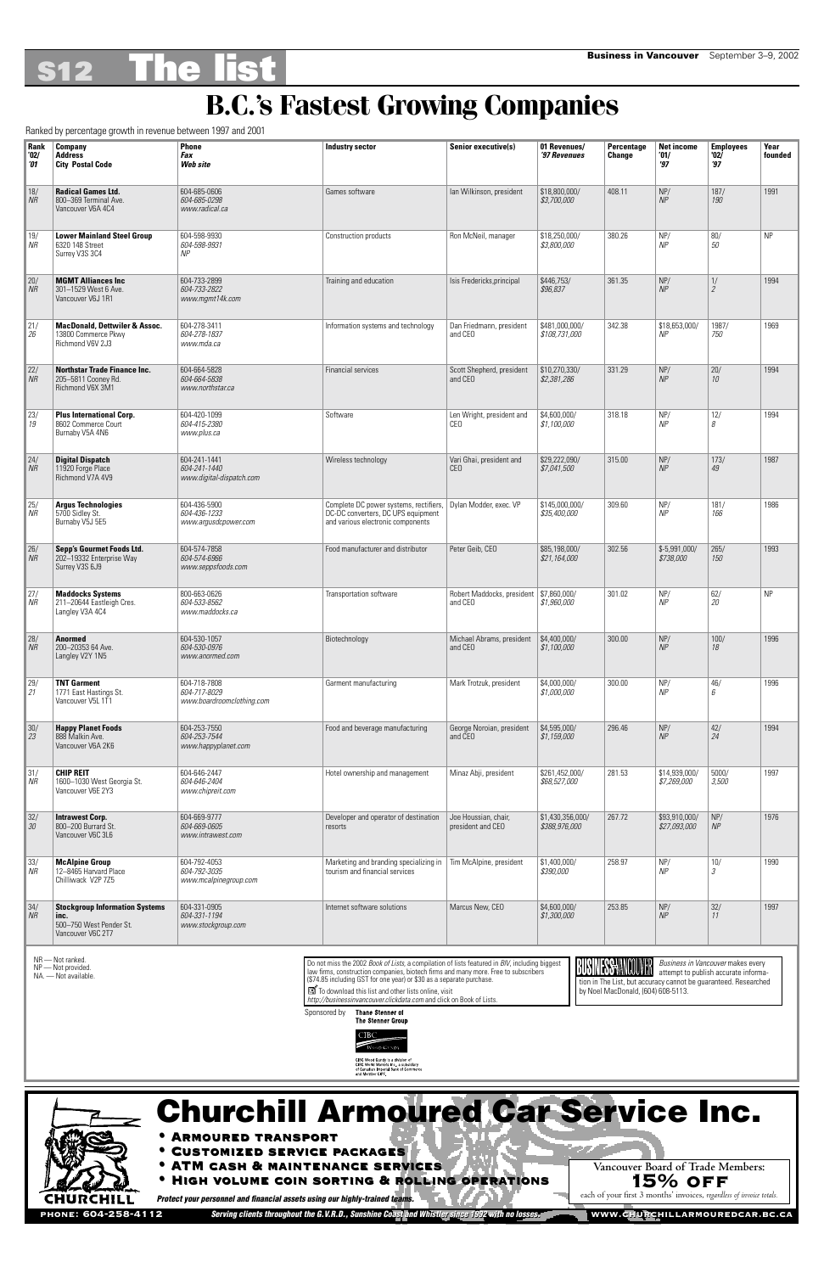## **S12 The list Business in Vancouver** September 3–9, 2002

#### **B.C.'s Fastest Growing Companies**

Ranked by percentage growth in revenue between 1997 and 2001



| Rank                            | Company                                                                                       | <b>Phone</b>                                              | <b>Industry sector</b>                                                                                            | Senior executive(s)                                  | 01 Revenues/                      | <b>Percentage</b> | <b>Net income</b>             | <b>Employees</b>     | Year      |
|---------------------------------|-----------------------------------------------------------------------------------------------|-----------------------------------------------------------|-------------------------------------------------------------------------------------------------------------------|------------------------------------------------------|-----------------------------------|-------------------|-------------------------------|----------------------|-----------|
| '02/<br>101                     | <b>Address</b><br><b>City Postal Code</b>                                                     | Fax<br>Web site                                           |                                                                                                                   |                                                      | '97 Revenues                      | Change            | '01/<br>'97                   | '02)<br>'97          | founded   |
| 18/<br>$\overline{M}$           | <b>Radical Games Ltd.</b><br>800-369 Terminal Ave.<br>Vancouver V6A 4C4                       | 604-685-0606<br>604-685-0298<br>www.radical.ca            | Games software                                                                                                    | lan Wilkinson, president                             | \$18,800,000/<br>\$3,700,000      | 408.11            | NP/<br>NP                     | 187/<br>190          | 1991      |
| 19/<br>$\vert$ NR               | <b>Lower Mainland Steel Group</b><br>6320 148 Street<br>Surrey V3S 3C4                        | 604-598-9930<br>604-598-9931<br>NP                        | Construction products                                                                                             | Ron McNeil, manager                                  | \$18,250,000/<br>\$3,800,000      | 380.26            | NP/<br>NP                     | 80/<br>50            | <b>NP</b> |
| $\frac{20}{n}$                  | <b>MGMT Alliances Inc.</b><br>301-1529 West 6 Ave.<br>Vancouver V6J 1R1                       | 604-733-2899<br>604-733-2822<br>www.mgmt14k.com           | Training and education                                                                                            | Isis Fredericks, principal                           | \$446,753/<br>\$96,837            | 361.35            | NP/<br>NP                     | 1/<br>$\mathfrak{2}$ | 1994      |
| $\vert$ 21/<br> 26              | <b>MacDonald, Dettwiler &amp; Assoc.</b><br>13800 Commerce Pkwy<br>Richmond V6V 2J3           | 604-278-3411<br>604-278-1837<br>www.mda.ca                | Information systems and technology                                                                                | Dan Friedmann, president<br>and CEO                  | \$481,000,000/<br>\$108,731,000   | 342.38            | \$18,653,000/<br>ΝP           | 1987/<br>750         | 1969      |
| 22/<br>$\vert$ NR               | <b>Northstar Trade Finance Inc.</b><br>205-5811 Cooney Rd.<br>Richmond V6X 3M1                | 604-664-5828<br>604-664-5838<br>www.northstar.ca          | <b>Financial services</b>                                                                                         | Scott Shepherd, president<br>and CEO                 | \$10,270,330/<br>\$2,381,286      | 331.29            | NP/<br>NP                     | 20/<br>10            | 1994      |
| 23/<br>19                       | <b>Plus International Corp.</b><br>8602 Commerce Court<br>Burnaby V5A 4N6                     | 604-420-1099<br>604-415-2380<br>www.plus.ca               | Software                                                                                                          | Len Wright, president and<br><b>CEO</b>              | \$4,600,000/<br>\$1,100,000       | 318.18            | NP/<br>NP                     | 12/<br>8             | 1994      |
| $\vert$ 24/<br>$\parallel$ NR   | <b>Digital Dispatch</b><br>11920 Forge Place<br>Richmond V7A 4V9                              | 604-241-1441<br>604-241-1440<br>www.digital-dispatch.com  | Wireless technology                                                                                               | Vari Ghai, president and<br><b>CEO</b>               | \$29,222,090/<br>\$7,041,500      | 315.00            | NP/<br>NP                     | 173/<br>49           | 1987      |
| 25/<br>$\overline{\mathsf{NR}}$ | <b>Argus Technologies</b><br>5700 Sidley St.<br>Burnaby V5J 5E5                               | 604-436-5900<br>604-436-1233<br>www.argusdcpower.com      | Complete DC power systems, rectifiers,<br>DC-DC converters, DC UPS equipment<br>and various electronic components | Dylan Modder, exec. VP                               | \$145,000,000/<br>\$35,400,000    | 309.60            | NP/<br><b>NP</b>              | 181/<br>166          | 1986      |
| 26/<br>$\vert$ NR               | Sepp's Gourmet Foods Ltd.<br>202-19332 Enterprise Way<br>Surrey V3S 6J9                       | 604-574-7858<br>604-574-6966<br>www.seppsfoods.com        | Food manufacturer and distributor                                                                                 | Peter Geib, CEO                                      | \$85,198,000/<br>\$21,164,000     | 302.56            | \$-5,991,000/<br>\$738,000    | 265/<br>150          | 1993      |
| 27/<br>$\mathsf{N}$             | <b>Maddocks Systems</b><br>211-20644 Eastleigh Cres.<br>Langley V3A 4C4                       | 800-663-0626<br>604-533-8562<br>www.maddocks.ca           | Transportation software                                                                                           | Robert Maddocks, president   \$7,860,000/<br>and CEO | \$1,960,000                       | 301.02            | NP/<br>NP                     | 62/<br>20            | <b>NP</b> |
| $\vert$ 28/<br>$\vert$ NR       | <b>Anormed</b><br>200-20353 64 Ave.<br>Langley V2Y 1N5                                        | 604-530-1057<br>604-530-0976<br>www.anormed.com           | Biotechnology                                                                                                     | Michael Abrams, president<br>and CEO                 | \$4,400,000/<br>\$1,100,000       | 300.00            | NP/<br>NP                     | 100/<br>18           | 1996      |
| $\vert$ 29/<br> 21              | <b>TNT Garment</b><br>1771 East Hastings St.<br>Vancouver V5L 1T1                             | 604-718-7808<br>604-717-8029<br>www.boardroomclothing.com | Garment manufacturing                                                                                             | Mark Trotzuk, president                              | \$4,000,000/<br>\$1,000,000       | 300.00            | NP/<br>NP                     | 46/<br>6             | 1996      |
| $\vert 30/$<br> 23              | <b>Happy Planet Foods</b><br>888 Malkin Ave.<br>Vancouver V6A 2K6                             | 604-253-7550<br>604-253-7544<br>www.happyplanet.com       | Food and beverage manufacturing                                                                                   | George Noroian, president<br>and CEO                 | \$4,595,000/<br>\$1,159,000       | 296.46            | NP/<br>NP                     | 42/<br>24            | 1994      |
| $\vert 31/$<br>$\vert$ NR       | <b>CHIP REIT</b><br>1600-1030 West Georgia St.<br>Vancouver V6E 2Y3                           | 604-646-2447<br>604-646-2404<br>www.chipreit.com          | Hotel ownership and management                                                                                    | Minaz Abji, president                                | \$261,452,000/<br>\$68,527,000    | 281.53            | \$14,939,000/<br>\$7,269,000  | 5000/<br>3,500       | 1997      |
| 32/<br> 30                      | <b>Intrawest Corp.</b><br>800-200 Burrard St.<br>Vancouver V6C 3L6                            | 604-669-9777<br>604-669-0605<br>www.intrawest.com         | Developer and operator of destination<br>resorts                                                                  | Joe Houssian, chair,<br>president and CEO            | \$1,430,356,000/<br>\$388,976,000 | 267.72            | \$93,910,000/<br>\$27,093,000 | NP/<br>NP            | 1976      |
| 33/<br>$\overline{MR}$          | <b>McAlpine Group</b><br>12-8465 Harvard Place<br>Chilliwack V2P 7Z5                          | 604-792-4053<br>604-792-3035<br>www.mcalpinegroup.com     | Marketing and branding specializing in<br>tourism and financial services                                          | Tim McAlpine, president                              | \$1,400,000/<br>\$390,000         | 258.97            | NP/<br><b>NP</b>              | $\frac{10}{}$        | 1990      |
| $\vert 34/$<br>$\parallel$ NR   | <b>Stockgroup Information Systems</b><br>inc.<br>500-750 West Pender St.<br>Vancouver V6C 2T7 | 604-331-0905<br>604-331-1194<br>www.stockgroup.com        | Internet software solutions                                                                                       | Marcus New, CEO                                      | \$4,600,000/<br>\$1,300,000       | 253.85            | NP/<br>NP                     | 32/<br>11            | 1997      |